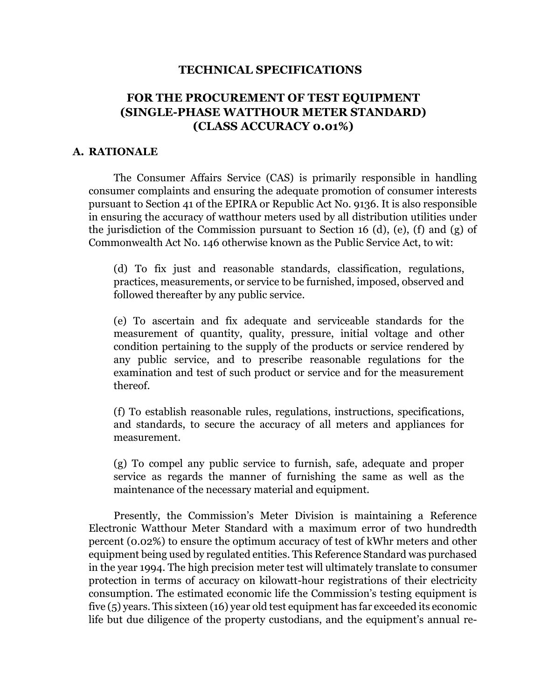#### **TECHNICAL SPECIFICATIONS**

# **FOR THE PROCUREMENT OF TEST EQUIPMENT (SINGLE-PHASE WATTHOUR METER STANDARD) (CLASS ACCURACY 0.01%)**

#### **A. RATIONALE**

The Consumer Affairs Service (CAS) is primarily responsible in handling consumer complaints and ensuring the adequate promotion of consumer interests pursuant to Section 41 of the EPIRA or Republic Act No. 9136. It is also responsible in ensuring the accuracy of watthour meters used by all distribution utilities under the jurisdiction of the Commission pursuant to Section 16 (d), (e), (f) and (g) of Commonwealth Act No. 146 otherwise known as the Public Service Act, to wit:

(d) To fix just and reasonable standards, classification, regulations, practices, measurements, or service to be furnished, imposed, observed and followed thereafter by any public service.

(e) To ascertain and fix adequate and serviceable standards for the measurement of quantity, quality, pressure, initial voltage and other condition pertaining to the supply of the products or service rendered by any public service, and to prescribe reasonable regulations for the examination and test of such product or service and for the measurement thereof.

(f) To establish reasonable rules, regulations, instructions, specifications, and standards, to secure the accuracy of all meters and appliances for measurement.

(g) To compel any public service to furnish, safe, adequate and proper service as regards the manner of furnishing the same as well as the maintenance of the necessary material and equipment.

Presently, the Commission's Meter Division is maintaining a Reference Electronic Watthour Meter Standard with a maximum error of two hundredth percent (0.02%) to ensure the optimum accuracy of test of kWhr meters and other equipment being used by regulated entities. This Reference Standard was purchased in the year 1994. The high precision meter test will ultimately translate to consumer protection in terms of accuracy on kilowatt-hour registrations of their electricity consumption. The estimated economic life the Commission's testing equipment is five (5) years. This sixteen (16) year old test equipment has far exceeded its economic life but due diligence of the property custodians, and the equipment's annual re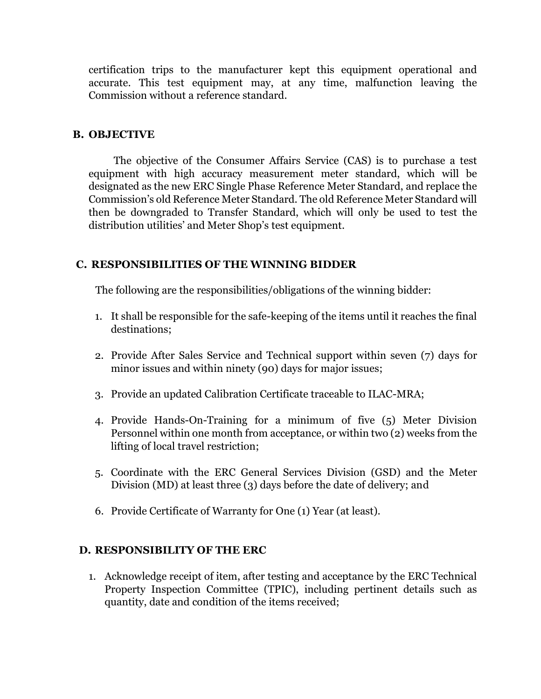certification trips to the manufacturer kept this equipment operational and accurate. This test equipment may, at any time, malfunction leaving the Commission without a reference standard.

### **B. OBJECTIVE**

The objective of the Consumer Affairs Service (CAS) is to purchase a test equipment with high accuracy measurement meter standard, which will be designated as the new ERC Single Phase Reference Meter Standard, and replace the Commission's old Reference Meter Standard. The old Reference Meter Standard will then be downgraded to Transfer Standard, which will only be used to test the distribution utilities' and Meter Shop's test equipment.

### **C. RESPONSIBILITIES OF THE WINNING BIDDER**

The following are the responsibilities/obligations of the winning bidder:

- 1. It shall be responsible for the safe-keeping of the items until it reaches the final destinations;
- 2. Provide After Sales Service and Technical support within seven (7) days for minor issues and within ninety (90) days for major issues;
- 3. Provide an updated Calibration Certificate traceable to ILAC-MRA;
- 4. Provide Hands-On-Training for a minimum of five (5) Meter Division Personnel within one month from acceptance, or within two (2) weeks from the lifting of local travel restriction;
- 5. Coordinate with the ERC General Services Division (GSD) and the Meter Division (MD) at least three (3) days before the date of delivery; and
- 6. Provide Certificate of Warranty for One (1) Year (at least).

## **D. RESPONSIBILITY OF THE ERC**

1. Acknowledge receipt of item, after testing and acceptance by the ERC Technical Property Inspection Committee (TPIC), including pertinent details such as quantity, date and condition of the items received;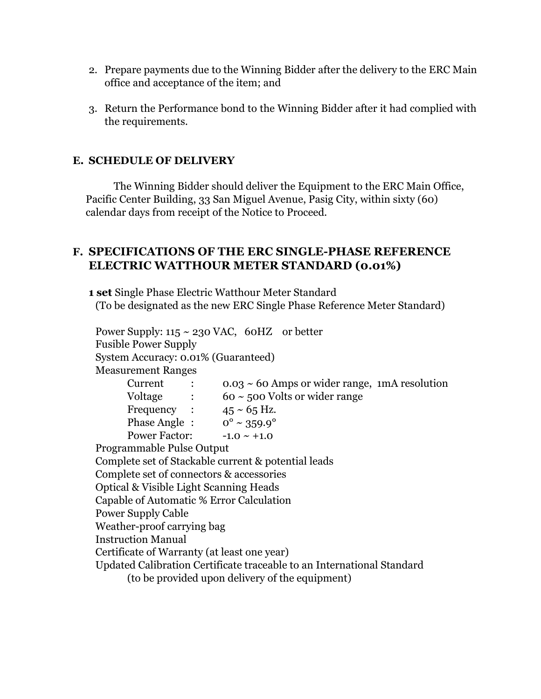- 2. Prepare payments due to the Winning Bidder after the delivery to the ERC Main office and acceptance of the item; and
- 3. Return the Performance bond to the Winning Bidder after it had complied with the requirements.

## **E. SCHEDULE OF DELIVERY**

The Winning Bidder should deliver the Equipment to the ERC Main Office, Pacific Center Building, 33 San Miguel Avenue, Pasig City, within sixty (60) calendar days from receipt of the Notice to Proceed.

## **F. SPECIFICATIONS OF THE ERC SINGLE-PHASE REFERENCE ELECTRIC WATTHOUR METER STANDARD (0.01%)**

**1 set** Single Phase Electric Watthour Meter Standard (To be designated as the new ERC Single Phase Reference Meter Standard)

Power Supply:  $115 \sim 230$  VAC, 60HZ or better Fusible Power Supply System Accuracy: 0.01% (Guaranteed) Measurement Ranges Current :  $0.03 \sim 60$  Amps or wider range, 1mA resolution  $60 \sim 500$  Volts or wider range  $Voltage$  :

| Frequency :          | $45 \sim 65$ Hz.               |
|----------------------|--------------------------------|
| Phase Angle:         | $0^{\circ} \sim 359.9^{\circ}$ |
| <b>Power Factor:</b> | $-1.0 \sim +1.0$               |

Programmable Pulse Output

Complete set of Stackable current & potential leads

Complete set of connectors & accessories

Optical & Visible Light Scanning Heads

Capable of Automatic % Error Calculation

Power Supply Cable

Weather-proof carrying bag

Instruction Manual

Certificate of Warranty (at least one year)

Updated Calibration Certificate traceable to an International Standard

(to be provided upon delivery of the equipment)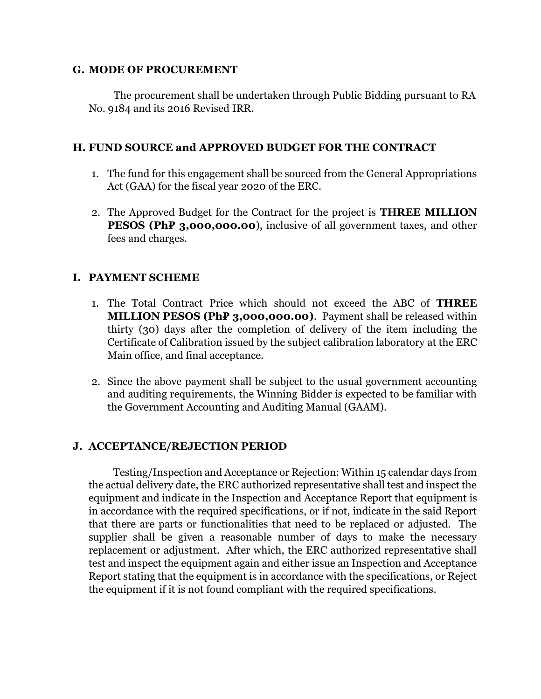#### **G. MODE OF PROCUREMENT**

The procurement shall be undertaken through Public Bidding pursuant to RA No. 9184 and its 2016 Revised IRR.

### **H. FUND SOURCE and APPROVED BUDGET FOR THE CONTRACT**

- 1. The fund for this engagement shall be sourced from the General Appropriations Act (GAA) for the fiscal year 2020 of the ERC.
- 2. The Approved Budget for the Contract for the project is **THREE MILLION PESOS** (PhP 3,000,000.00), inclusive of all government taxes, and other fees and charges.

### **I. PAYMENT SCHEME**

- 1. The Total Contract Price which should not exceed the ABC of **THREE MILLION PESOS (Ph₽ 3,000,000.00)**. Payment shall be released within thirty (30) days after the completion of delivery of the item including the Certificate of Calibration issued by the subject calibration laboratory at the ERC Main office, and final acceptance.
- 2. Since the above payment shall be subject to the usual government accounting and auditing requirements, the Winning Bidder is expected to be familiar with the Government Accounting and Auditing Manual (GAAM).

## **J. ACCEPTANCE/REJECTION PERIOD**

Testing/Inspection and Acceptance or Rejection: Within 15 calendar days from the actual delivery date, the ERC authorized representative shall test and inspect the equipment and indicate in the Inspection and Acceptance Report that equipment is in accordance with the required specifications, or if not, indicate in the said Report that there are parts or functionalities that need to be replaced or adjusted. The supplier shall be given a reasonable number of days to make the necessary replacement or adjustment. After which, the ERC authorized representative shall test and inspect the equipment again and either issue an Inspection and Acceptance Report stating that the equipment is in accordance with the specifications, or Reject the equipment if it is not found compliant with the required specifications.